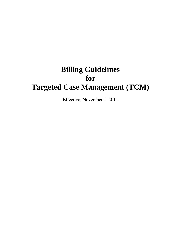# **Billing Guidelines for Targeted Case Management (TCM)**

Effective: November 1, 2011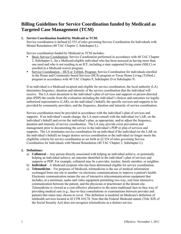# **Billing Guidelines for Service Coordination funded by Medicaid as Targeted Case Management (TCM)**

# **1. Service Coordination funded by Medicaid as TCM:**

Service coordination is defined §2.553 of rules governing Service Coordination for Individuals with Mental Retardation (40 TAC Chapter 2, Subchapter L).

Service coordination funded by Medicaid as TCM includes:

- Basic Service Coordination: Service Coordination performed in accordance with 40 TAC Chapter 2, Subchapter L, for a Medicaid-eligible individual who has been assessed as having more than one need and who is not residing in an ICF, including a state supported living center (SSLC) or enrolled in a Medicaid waiver program.
- Service Coordination HCS or TxHmL Program: Service Coordination for individuals enrolled in the Home and Community-based Services (HCS) program or Texas Home Living (TxHmL) program in accordance with 40 TAC Chapter 9, Subchapter D or Subchapter N.

If an individual is a Medicaid recipient and eligible for service coordination, the local authority (LA) determines frequency, duration and intensity of the service coordination that the individual will receive. The LA must document in the individual's plan of services and supports or person-directed plan (PDP) the results from the evaluation including the individual's choices and outcomes (or legally authorized representative (LAR), on the individual's behalf); the specific services and supports to be provided by community providers; and the frequency, duration and intensity of service coordination.

Service coordination must be provided in accordance with the individual's plan of services and supports. If an individual's needs change, the LA must consult with the individual (or LAR, on the individual's behalf) and revise the individual's plan, as appropriate, and/or adjust the frequency, duration and intensity of service coordination. The LA may provide crisis prevention and management prior to documenting the service in the individual's PDP or plan of services and supports. The LA terminates service coordination for an individual if the individual (or the LAR on the individual's behalf) no longer desires service coordination or the individual no longer meets the eligibility criteria for service coordination as set forth in §2.554 of rules governing Service Coordination for Individuals with Mental Retardation (40 TAC Chapter 2, Subchapter L).

# **2. Definitions:**

- a) **Collateral** -- Any person directly associated with helping an individual achieve, or potentially helping an individual achieve, an outcome identified in the individual's plan of services and supports or PDP. For example, collateral may be a provider, teacher, family member, or neighbor.
- b) **Individual** A Medicaid recipient who has been determined eligible for service coordination.
- c) **Telemedicine** For purposes of Medicaid, telemedicine is the use of medical information exchanged from one site to another via electronic communications to improve a patient's health. Electronic communication means the use of interactive telecommunications equipment that includes, at a minimum, audio and video equipment permitting two-way, real time interactive communication between the patient, and the physician or practitioner at the distant site. Telemedicine is viewed as a cost-effective alternative to the more traditional face-to-face way of providing medical care (e.g., face-to-face consultations or examinations between provider and patient) that states may choose to cover. This definition is modeled on Medicare's definition of telehealth services located at 42 CFR 410.78. Note that the Federal Medicaid statute (Title XIX of the Social Security Act) does not recognize telemedicine as a distinct service.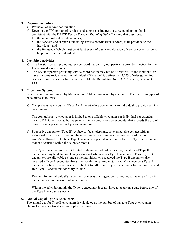#### **3. Required activities:**

- a) Provision of service coordination.
- b) Develop the PDP or plan of services and supports using person-directed planning that is consistent with the DADS' *Person Directed Planning Guidelines* and that describes:
	- the individual's desired outcomes:
	- the services and supports, including service coordination services, to be provided to the individual; and
	- the frequency (which must be at least every 90 days) and duration of service coordination to be provided to the individual.

# **4. Prohibited activities:**

- a) The LA staff person providing service coordination may not perform a provider function for the LA's provider operations.
- b) The LA staff person providing service coordination may not be a "relative" of the individual or have the same residence as the individual. ("Relative" is defined in §2.253 of rules governing Service Coordination for Individuals with Mental Retardation (40 TAC Chapter 2, Subchapter  $L)$ .)

#### **5. Encounter System:**

Service coordination funded by Medicaid as TCM is reimbursed by encounter. There are two types of encounters as follows:

a) Comprehensive encounter (Type  $\Delta$ ): A face-to-face contact with an individual to provide service coordination.

The comprehensive encounter is limited to one billable encounter per individual per calendar month. DADS will not authorize payment for a comprehensive encounter that exceeds the cap of one encounter per individual per calendar month.

b) Supportive encounter (Type B): A face-to-face, telephone, or telemedicine contact with an individual or with a collateral on the individual's behalf to provide service coordination. An LA is allowed up to three Type B encounters per calendar month for each Type A encounter that has occurred within the calendar month.

The Type B encounters are not limited to three per individual. Rather, the allowed Type B encounters may be delivered to any individual who needs a Type B encounter. These Type B encounters are allowable as long as the individual who received the Type B encounter also received a Type A encounter that same month. For example, Sam and Mary receive a Type A encounter in June. It is allowable for the LA to bill for one Type B encounter for Sam in June and five Type B encounters for Mary in June.

Payment for an individual's Type B encounter is contingent on that individual having a Type A encounter within the same calendar month.

Within the calendar month, the Type A encounter does not have to occur on a date before any of the Type B encounters occur.

# **6. Annual Cap of Type B Encounters:**

The annual cap for Type B encounters is calculated as the number of payable Type A encounter claims for the state fiscal year multiplied by three.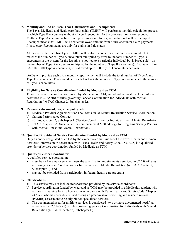### **7. Monthly and End of Fiscal Year Calculations and Recoupment:**

The Texas Medicaid and Healthcare Partnership (TMHP) will perform a monthly calculation process in which Type B encounters without a Type A encounter for the previous month are recouped. Multiple Type A encounters billed in a previous month for a given individual will be recouped. Recouped means that TMHP will deduct the owed amount from future encounter claim payments. *Please note:* Recoupments are only for claims in Paid status.

At the end of the state fiscal year, TMHP will perform another calculation process in which it matches the number of Type A encounters multiplied by three to the total number of Type B encounters in the system for the LA (this is not tied to a particular individual but is based solely on the number of Type A encounters multiplied by the number of Type B encounters). *Example:* If an LA bills 1000 Type A encounters, it is allowed up to 3000 Type B encounters per year.

DADS will provide each LA a monthly report which will include the total number of Type A and Type B encounters. This should help each LA track the number of Type A encounters to the number of Type B encounters.

#### **8. Eligibility for Service Coordination funded by Medicaid as TCM:**

To receive service coordination funded by Medicaid as TCM, an individual must meet the criteria described in §2.555(b) of rules governing Service Coordination for Individuals with Mental Retardation (40 TAC Chapter 2, Subchapter L).

#### **9. Reference document, law, rule, policy, etc.:**

- a) Medicaid Provider Agreement For The Provision Of Mental Retardation Service Coordination
- b) Current Performance Contract
- c) 40 TAC Chapter 2, Subchapter L (Service Coordination for Individuals with Mental Retardation)
- d) 1 TAC Chapter 355, Subchapter F (Reimbursement Methodology for Programs Serving Persons with Mental Illness and Mental Retardation)

#### **10. Qualified Provider of Service Coordination funded by Medicaid as TCM:**

 Only an entity designated as an LA by the executive commissioner of the Texas Health and Human Services Commission in accordance with Texas Health and Safety Code, §533.035, is a qualified provider of service coordination funded by Medicaid as TCM.

# **11. Qualified Service Coordinator:**

A qualified service coordinator:

- must be an LA employee who meets the qualification requirements described in §2.559 of rules governing Service Coordination for Individuals with Mental Retardation (40 TAC Chapter 2, Subchapter L); and
- may not be excluded from participation in federal health care programs.

# **12. Clarifications:**

- a) This service may not include transportation provided by the service coordinator.
- b) Service coordination funded by Medicaid as TCM may be provided to a Medicaid recipient who resides in a nursing facility licensed in accordance with Texas Health and Safety Code, Chapter 242, and who has been determined through a preadmission screening and resident review (PASRR) assessment to be eligible for specialized services.
- c) The documented need for multiple services is considered "two or more documented needs" as referenced in §2.554(a)(1) of rules governing Service Coordination for Individuals with Mental Retardation (40 TAC Chapter 2, Subchapter L).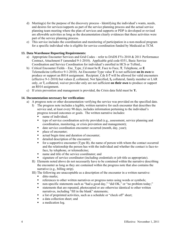- d) Meeting(s) for the purpose of the discovery process Identifying the individual's wants, needs, and desires for services/supports as part of the service planning process and the actual service planning team meeting where the plan of services and supports or PDP is developed or revised are allowable activities as long as the documentation clearly evidences that these activities were part of the service planning process.
- e) This service includes the coordination and monitoring of participation in a non-medical program for a specific individual who is eligible for service coordination funded by Medicaid as TCM.

#### **13. Data Warehouse Reporting Requirements:**

- a) Appropriate Encounter Services and Grid Codes refer to DADS FYs 2010  $& 2011$  Performance Contract, Attachment F (amended 9-1-2010). Applicable grid code 0351, Basic Service Coordination and Service Coordination for individual's enrolled in HCS or TxHmL**.**
- b) Critical Encounter Fields Enc\_Type\_Cd must be **F**, Face to Face, **T**, Telephone, or **E** Telemedicine (effective 9-1-2010). An Encounter Type value **T** is not sufficient **on its own** to produce or support an R014 assignment. Recipient\_Cds **1-7** will be allowed for valid encounters (effective 9-1-2010) but values **2**, collateral, Not Specified, **5,** collateral, family member or LAR only, or **7,** collateral, waiver provider only are not sufficient **on their own** to produce or support an R014 assignment.
- c) If crisis prevention and management is provided, the Crisis data field must be **Y.**

#### **14. Documentation necessary for verification:**

- a) A progress note or other documentation verifying the service was provided on the specified date.
	- I) The progress note includes a legible, written narrative for each encounter that describes the service and, at least every 90 days, includes information pertaining to the individual's progress toward outcomes or goals. The written narrative includes:
		- name of individual;
		- type of service coordination activity provided (e.g., assessment, service planning and coordination, monitoring, or crisis prevention and management);
		- date service coordination encounter occurred (month, day, year);
		- place of encounter;
		- **actual begin time and duration of encounter;**
		- detailed description of the encounter;
		- $\blacksquare$  for a supportive encounter (Type B), the name of person with whom the contact occurred and the relationship the person has with the individual and whether the contact is face-toface, by telephone, or telemedicine;
		- name and title of the service coordinator; and
		- signature of service coordinator (including credentials or job title as appropriate).
	- II) Elements noted above do not necessarily have to be contained within the narrative describing the encounter as long as they are contained within the progress note that also contains the narrative (e.g., billing strip).
	- III) The following are unacceptable as a description of the encounter in a written narrative:
		- $\blacksquare$  ditto marks;
		- references to other written narratives or progress notes using words or symbols;
		- non-specific statements such as "had a good day," "did OK," or "no problem today;"
		- statements that are repeated, photocopied or are otherwise identical to other written narratives, including "fill in the blank" statements;
		- a list of preprinted activities, such as a schedule or "check off" sheet;
		- a data collection sheet; and
		- a medication log.